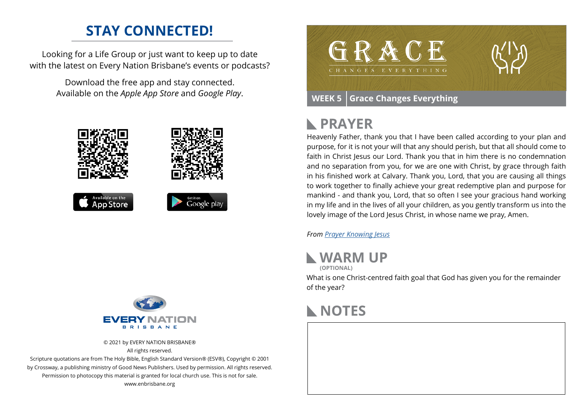### **STAY CONNECTED!**

Looking for a Life Group or just want to keep up to date with the latest on Every Nation Brisbane's events or podcasts?

> Download the free app and stay connected. Available on the *Apple App Store* and *Google Play*.





© 2021 by EVERY NATION BRISBANE® All rights reserved.

Scripture quotations are from The Holy Bible, English Standard Version® (ESV®), Copyright © 2001 by Crossway, a publishing ministry of Good News Publishers. Used by permission. All rights reserved. Permission to photocopy this material is granted for local church use. This is not for sale. www.enbrisbane.org



## **PRAYER**

Heavenly Father, thank you that I have been called according to your plan and purpose, for it is not your will that any should perish, but that all should come to faith in Christ Jesus our Lord. Thank you that in him there is no condemnation and no separation from you, for we are one with Christ, by grace through faith in his finished work at Calvary. Thank you, Lord, that you are causing all things to work together to finally achieve your great redemptive plan and purpose for mankind - and thank you, Lord, that so often I see your gracious hand working in my life and in the lives of all your children, as you gently transform us into the lovely image of the Lord Jesus Christ, in whose name we pray, Amen.

*From [Prayer](https://prayer.knowing-jesus.com/Romans/6) Knowing Jesus*



**(OPTIONAL)**

What is one Christ-centred faith goal that God has given you for the remainder of the year?